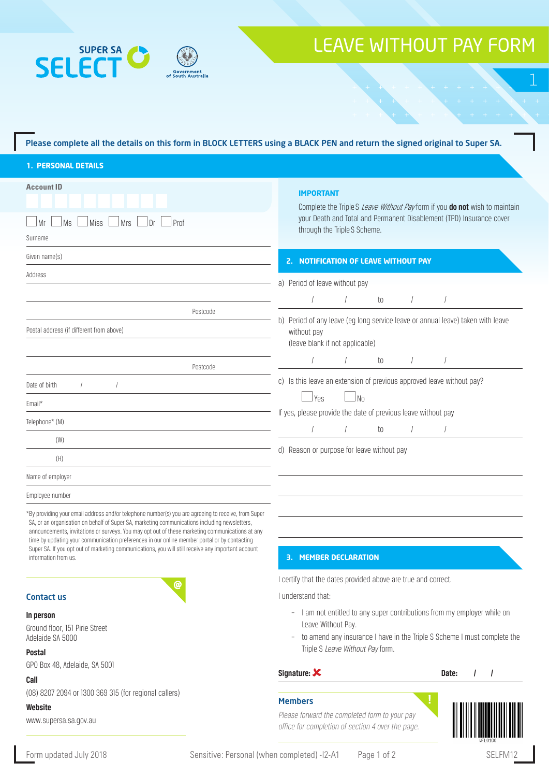



### Please complete all the details on this form in BLOCK LETTERS using a BLACK PEN and return the signed original to Super SA.

| <b>1. PERSONAL DETAILS</b> |  |  |  |  |  |
|----------------------------|--|--|--|--|--|
|                            |  |  |  |  |  |
|                            |  |  |  |  |  |

| <b>Account ID</b><br>$ $ Prof<br>Mr<br>Ms<br>Miss<br><b>Mrs</b><br>Dr                                                                                                                                                                                                                                                                                                                                                                                                                                                                 | <b>IMPORTANT</b><br>Complete the Triple S Leave Without Pay form if you do not wish to maintain<br>your Death and Total and Permanent Disablement (TPD) Insurance cover<br>through the Triple S Scheme. |  |  |  |  |  |  |
|---------------------------------------------------------------------------------------------------------------------------------------------------------------------------------------------------------------------------------------------------------------------------------------------------------------------------------------------------------------------------------------------------------------------------------------------------------------------------------------------------------------------------------------|---------------------------------------------------------------------------------------------------------------------------------------------------------------------------------------------------------|--|--|--|--|--|--|
| Surname                                                                                                                                                                                                                                                                                                                                                                                                                                                                                                                               |                                                                                                                                                                                                         |  |  |  |  |  |  |
| Given name(s)                                                                                                                                                                                                                                                                                                                                                                                                                                                                                                                         | 2. NOTIFICATION OF LEAVE WITHOUT PAY<br>a) Period of leave without pay                                                                                                                                  |  |  |  |  |  |  |
| Address                                                                                                                                                                                                                                                                                                                                                                                                                                                                                                                               |                                                                                                                                                                                                         |  |  |  |  |  |  |
|                                                                                                                                                                                                                                                                                                                                                                                                                                                                                                                                       | to                                                                                                                                                                                                      |  |  |  |  |  |  |
| Postcode                                                                                                                                                                                                                                                                                                                                                                                                                                                                                                                              |                                                                                                                                                                                                         |  |  |  |  |  |  |
| Postal address (if different from above)                                                                                                                                                                                                                                                                                                                                                                                                                                                                                              | b) Period of any leave (eg long service leave or annual leave) taken with leave<br>without pay<br>(leave blank if not applicable)                                                                       |  |  |  |  |  |  |
| Postcode                                                                                                                                                                                                                                                                                                                                                                                                                                                                                                                              | to                                                                                                                                                                                                      |  |  |  |  |  |  |
| Date of birth                                                                                                                                                                                                                                                                                                                                                                                                                                                                                                                         | c) Is this leave an extension of previous approved leave without pay?                                                                                                                                   |  |  |  |  |  |  |
| Email*                                                                                                                                                                                                                                                                                                                                                                                                                                                                                                                                | No.<br>Yes                                                                                                                                                                                              |  |  |  |  |  |  |
| Telephone* (M)                                                                                                                                                                                                                                                                                                                                                                                                                                                                                                                        | If yes, please provide the date of previous leave without pay                                                                                                                                           |  |  |  |  |  |  |
| (W)                                                                                                                                                                                                                                                                                                                                                                                                                                                                                                                                   | to                                                                                                                                                                                                      |  |  |  |  |  |  |
| (H)                                                                                                                                                                                                                                                                                                                                                                                                                                                                                                                                   | d) Reason or purpose for leave without pay                                                                                                                                                              |  |  |  |  |  |  |
| Name of employer                                                                                                                                                                                                                                                                                                                                                                                                                                                                                                                      |                                                                                                                                                                                                         |  |  |  |  |  |  |
| Employee number                                                                                                                                                                                                                                                                                                                                                                                                                                                                                                                       |                                                                                                                                                                                                         |  |  |  |  |  |  |
| *By providing your email address and/or telephone number(s) you are agreeing to receive, from Super<br>SA, or an organisation on behalf of Super SA, marketing communications including newsletters,<br>announcements, invitations or surveys. You may opt out of these marketing communications at any<br>time by updating your communication preferences in our online member portal or by contacting<br>Super SA. If you opt out of marketing communications, you will still receive any important account<br>information from us. | <b>3. MEMBER DECLARATION</b>                                                                                                                                                                            |  |  |  |  |  |  |
| ര                                                                                                                                                                                                                                                                                                                                                                                                                                                                                                                                     | I certify that the dates provided above are true and correct.                                                                                                                                           |  |  |  |  |  |  |

#### I understand that:

- I am not entitled to any super contributions from my employer while on Leave Without Pay.
- to amend any insurance I have in the Triple S Scheme I must complete the Triple S Leave Without Pay form.

#### Signature: X and Date: 1 and Date: 1 and Date: 1 and Date: 1 and Date: 1 and Date: 1 and Date: 1 and Date: 1 and Date: 1 and Date: 1 and Date: 1 and Date: 1 and Date: 1 and Date: 1 and Date: 1 and Date: 1 and Date: 1 and D

#### Members

Please forward the completed form to your pay office for completion of section 4 over the page.



www.supersa.sa.gov.au

Ground floor, 151 Pirie Street Adelaide SA 5000

GPO Box 48, Adelaide, SA 5001

(08) 8207 2094 or 1300 369 315 (for regional callers)

Contact us

**In person**

**Postal**

**Call**

**Website**